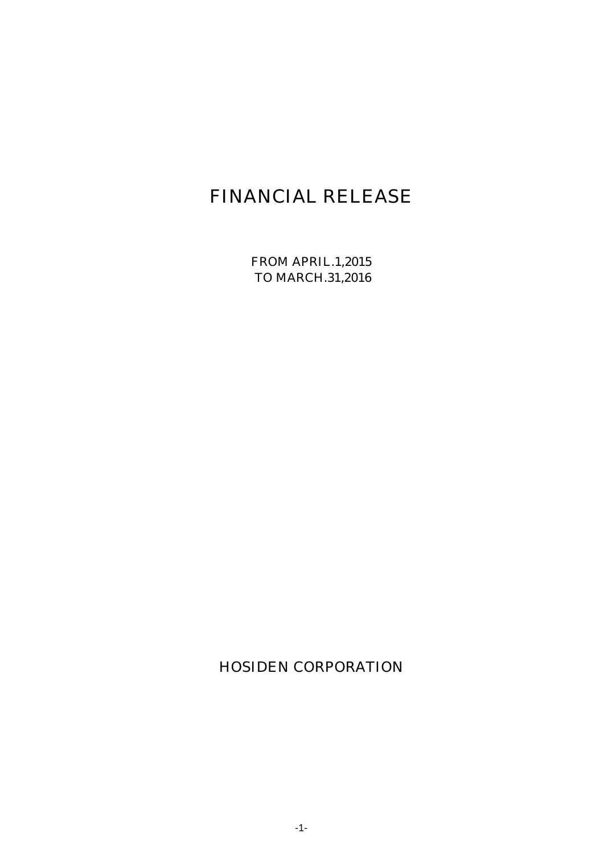# FINANCIAL RELEASE

FROM APRIL.1,2015 TO MARCH.31,2016

HOSIDEN CORPORATION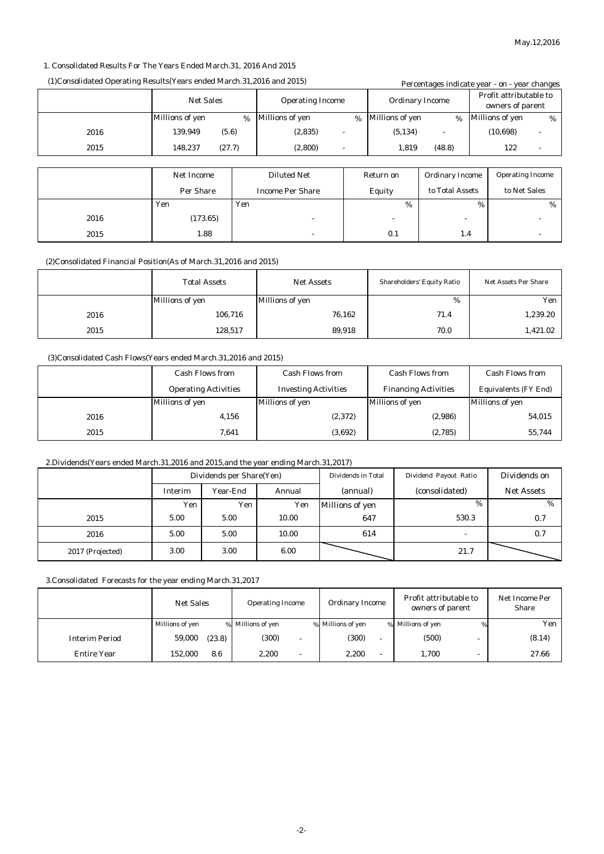#### 1. Consolidated Results For The Years Ended March.31, 2016 And 2015

#### (1)Consolidated Operating Results(Years ended March.31,2016 and 2015) Percentages indicate year - on - year changes

| I creditages muitate year - on - year changes |                   |   |                         |      |                        |                        |                                            |                         |                          |
|-----------------------------------------------|-------------------|---|-------------------------|------|------------------------|------------------------|--------------------------------------------|-------------------------|--------------------------|
|                                               | <b>Net Sales</b>  |   | <b>Operating Income</b> |      | <b>Ordinary Income</b> |                        | Profit attributable to<br>owners of parent |                         |                          |
|                                               | Millions of yen   | % | Millions of yen         | $\%$ | <b>Millions of yen</b> | %                      | <b>Millions of yen</b>                     |                         | %                        |
| 2016                                          | (5.6)<br>139,949  |   | (2,835)<br>٠            |      | (5, 134)               |                        | (10, 698)                                  |                         | $\overline{\phantom{a}}$ |
| 2015                                          | (27.7)<br>148.237 |   | (2,800)<br>۰            |      | 1.819                  | (48.8)                 |                                            | 122                     | ۰                        |
|                                               |                   |   |                         |      |                        |                        |                                            |                         |                          |
|                                               | <b>Net Income</b> |   | <b>Diluted Net</b>      |      | Return on              | <b>Ordinary Income</b> |                                            | <b>Operating Income</b> |                          |
|                                               | Per Share         |   | <b>Income Per Share</b> |      | Equity                 | to Total Assets        |                                            | to Net Sales            |                          |

|      | Yen      | Yen    | %      | %      | % |
|------|----------|--------|--------|--------|---|
| 2016 | (173.65) | $\sim$ | $\sim$ | $\sim$ |   |
| 2015 | 1.88     |        | 0.1    | 1.4    |   |
|      |          |        |        |        |   |

(2)Consolidated Financial Position(As of March.31,2016 and 2015)

|      | <b>Total Assets</b> | <b>Net Assets</b> | <b>Shareholders' Equity Ratio</b> | <b>Net Assets Per Share</b> |
|------|---------------------|-------------------|-----------------------------------|-----------------------------|
|      | Millions of yen     | Millions of yen   | %                                 | Yen                         |
| 2016 | 106,716             | 76,162            | 71.4                              | 1,239.20                    |
| 2015 | 128,517             | 89,918            | 70.0                              | 1,421.02                    |

#### (3)Consolidated Cash Flows(Years ended March.31,2016 and 2015)

|      | <b>Cash Flows from</b>      | <b>Cash Flows from</b>      | <b>Cash Flows from</b>      | <b>Cash Flows from</b>      |
|------|-----------------------------|-----------------------------|-----------------------------|-----------------------------|
|      | <b>Operating Activities</b> | <b>Investing Activities</b> | <b>Financing Activities</b> | <b>Equivalents (FY End)</b> |
|      | Millions of yen             | Millions of yen             | Millions of yen             | <b>Millions of yen</b>      |
| 2016 | 4,156                       | (2,372)                     | (2,986)                     | 54,015                      |
| 2015 | 7.641                       | (3,692)                     | (2,785)                     | 55,744                      |

#### 2.Dividends(Years ended March.31,2016 and 2015,and the year ending March.31,2017)

|                  | Dividends per Share(Yen)             |      |          | Dividends in Total     | Dividend Payout Ratio | Dividends on |
|------------------|--------------------------------------|------|----------|------------------------|-----------------------|--------------|
|                  | Annual<br><b>Year-End</b><br>Interim |      | (annual) | (consolidated)         | <b>Net Assets</b>     |              |
|                  | Yen                                  | Yen  | Yen      | <b>Millions of yen</b> | $\%$                  | %            |
| 2015             | 5.00                                 | 5.00 | 10.00    | 647                    | 530.3                 | 0.7          |
| 2016             | 5.00                                 | 5.00 | 10.00    | 614                    |                       | 0.7          |
| 2017 (Projected) | 3.00                                 | 3.00 | 6.00     |                        | 21.7                  |              |

3.Consolidated Forecasts for the year ending March.31,2017

|                       | <b>Net Sales</b> | <b>Operating Income</b> | <b>Ordinary Income</b> | Profit attributable to<br>owners of parent | Net Income Per<br><b>Share</b> |
|-----------------------|------------------|-------------------------|------------------------|--------------------------------------------|--------------------------------|
|                       | Millions of yen  | % Millions of yen       | % Millions of yen      | % Millions of yen                          | Yen                            |
| <b>Interim Period</b> | 59,000<br>(23.8) | (300)                   | (300)                  | (500)                                      | (8.14)                         |
| <b>Entire Year</b>    | 152.000<br>8.6   | 2.200<br>۰              | 2.200                  | 1.700                                      | 27.66                          |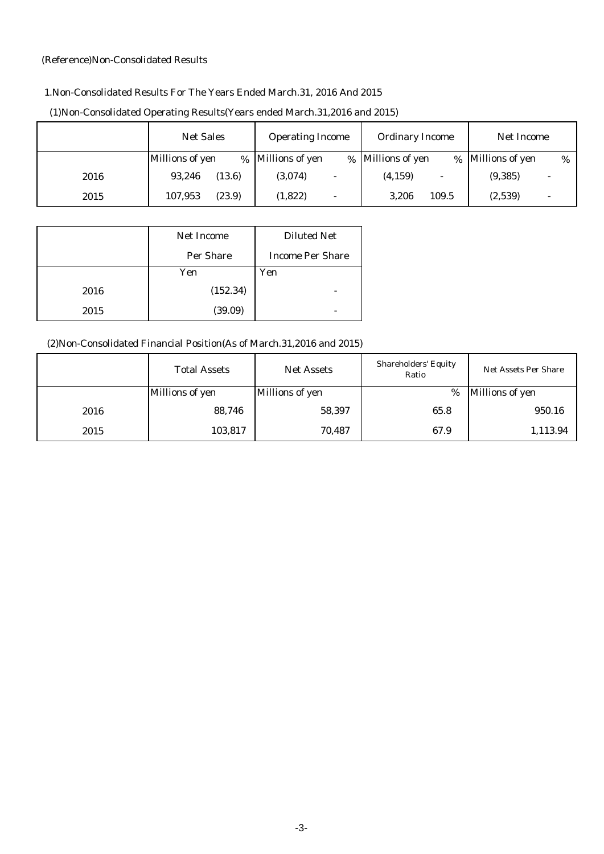#### (Reference)Non-Consolidated Results

## 1.Non-Consolidated Results For The Years Ended March.31, 2016 And 2015

|      | <b>Net Sales</b>  | <b>Operating Income</b>             | <b>Ordinary Income</b>    | Net Income           |  |
|------|-------------------|-------------------------------------|---------------------------|----------------------|--|
|      | Millions of yen   | % Millions of yen                   | % Millions of yen<br>$\%$ | Millions of yen<br>% |  |
| 2016 | 93.246<br>(13.6)  | (3,074)<br>$\overline{\phantom{0}}$ | (4, 159)                  | (9, 385)             |  |
| 2015 | (23.9)<br>107.953 | (1,822)<br>$\overline{\phantom{0}}$ | 3.206<br>109.5            | (2,539)              |  |

## (1)Non-Consolidated Operating Results(Years ended March.31,2016 and 2015)

|      | <b>Net Income</b> | <b>Diluted Net</b>      |
|------|-------------------|-------------------------|
|      | <b>Per Share</b>  | <b>Income Per Share</b> |
|      | Yen               | Yen                     |
| 2016 | (152.34)          |                         |
| 2015 | (39.09)           |                         |

# (2)Non-Consolidated Financial Position(As of March.31,2016 and 2015)

|      | <b>Total Assets</b> | <b>Net Assets</b> | <b>Shareholders' Equity</b><br>Ratio | <b>Net Assets Per Share</b> |
|------|---------------------|-------------------|--------------------------------------|-----------------------------|
|      | Millions of yen     | Millions of yen   | %                                    | Millions of yen             |
| 2016 | 88,746              | 58,397            | 65.8                                 | 950.16                      |
| 2015 | 103,817             | 70,487            | 67.9                                 | 1,113.94                    |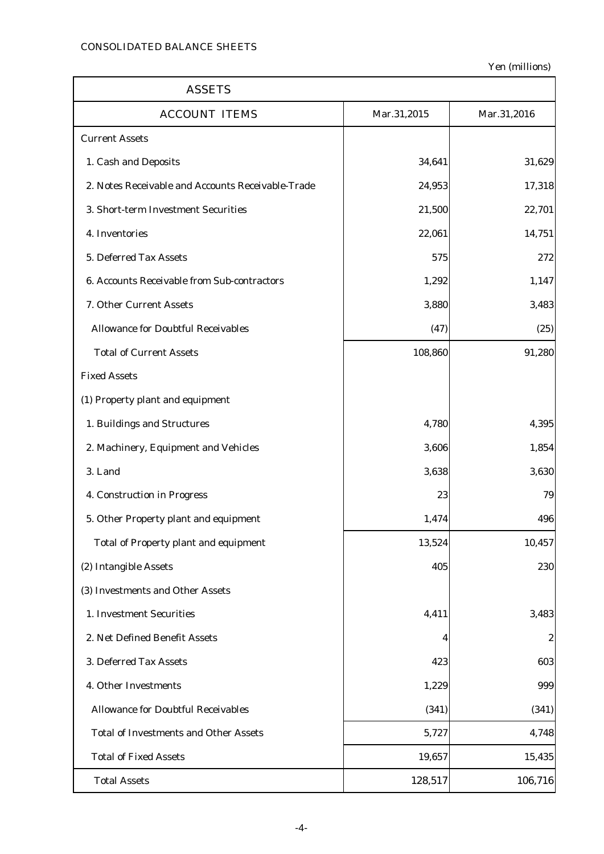$\mathbf{r}$ 

Yen (millions)

٦

| <b>ASSETS</b>                                     |             |             |  |  |
|---------------------------------------------------|-------------|-------------|--|--|
| <b>ACCOUNT ITEMS</b>                              | Mar.31,2015 | Mar.31,2016 |  |  |
| <b>Current Assets</b>                             |             |             |  |  |
| 1. Cash and Deposits                              | 34,641      | 31,629      |  |  |
| 2. Notes Receivable and Accounts Receivable-Trade | 24,953      | 17,318      |  |  |
| 3. Short-term Investment Securities               | 21,500      | 22,701      |  |  |
| 4. Inventories                                    | 22,061      | 14,751      |  |  |
| 5. Deferred Tax Assets                            | 575         | 272         |  |  |
| 6. Accounts Receivable from Sub-contractors       | 1,292       | 1,147       |  |  |
| 7. Other Current Assets                           | 3,880       | 3,483       |  |  |
| <b>Allowance for Doubtful Receivables</b>         | (47)        | (25)        |  |  |
| <b>Total of Current Assets</b>                    | 108,860     | 91,280      |  |  |
| <b>Fixed Assets</b>                               |             |             |  |  |
| (1) Property plant and equipment                  |             |             |  |  |
| 1. Buildings and Structures                       | 4,780       | 4,395       |  |  |
| 2. Machinery, Equipment and Vehicles              | 3,606       | 1,854       |  |  |
| 3. Land                                           | 3,638       | 3,630       |  |  |
| 4. Construction in Progress                       | 23          | 79          |  |  |
| 5. Other Property plant and equipment             | 1,474       | 496         |  |  |
| <b>Total of Property plant and equipment</b>      | 13,524      | 10,457      |  |  |
| (2) Intangible Assets                             | 405         | 230         |  |  |
| (3) Investments and Other Assets                  |             |             |  |  |
| 1. Investment Securities                          | 4,411       | 3,483       |  |  |
| 2. Net Defined Benefit Assets                     | 4           | 2           |  |  |
| 3. Deferred Tax Assets                            | 423         | 603         |  |  |
| 4. Other Investments                              | 1,229       | 999         |  |  |
| <b>Allowance for Doubtful Receivables</b>         | (341)       | (341)       |  |  |
| <b>Total of Investments and Other Assets</b>      | 5,727       | 4,748       |  |  |
| <b>Total of Fixed Assets</b>                      | 19,657      | 15,435      |  |  |
| <b>Total Assets</b>                               | 128,517     | 106,716     |  |  |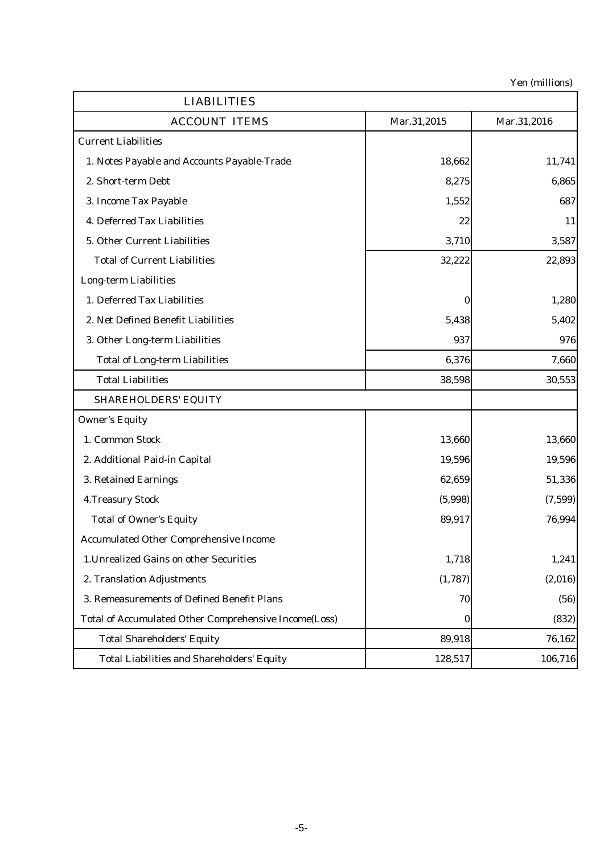Yen (millions)

| <b>LIABILITIES</b>                                           |             |             |
|--------------------------------------------------------------|-------------|-------------|
| <b>ACCOUNT ITEMS</b>                                         | Mar.31,2015 | Mar.31,2016 |
| <b>Current Liabilities</b>                                   |             |             |
| 1. Notes Payable and Accounts Payable-Trade                  | 18,662      | 11,741      |
| 2. Short-term Debt                                           | 8,275       | 6,865       |
| 3. Income Tax Payable                                        | 1,552       | 687         |
| 4. Deferred Tax Liabilities                                  | 22          | 11          |
| 5. Other Current Liabilities                                 | 3,710       | 3,587       |
| <b>Total of Current Liabilities</b>                          | 32,222      | 22,893      |
| <b>Long-term Liabilities</b>                                 |             |             |
| 1. Deferred Tax Liabilities                                  | $\bf{0}$    | 1,280       |
| 2. Net Defined Benefit Liabilities                           | 5,438       | 5,402       |
| 3. Other Long-term Liabilities                               | 937         | 976         |
| <b>Total of Long-term Liabilities</b>                        | 6,376       | 7,660       |
| <b>Total Liabilities</b>                                     | 38,598      | 30,553      |
| <b>SHAREHOLDERS' EQUITY</b>                                  |             |             |
| <b>Owner's Equity</b>                                        |             |             |
| 1. Common Stock                                              | 13,660      | 13,660      |
| 2. Additional Paid-in Capital                                | 19,596      | 19,596      |
| 3. Retained Earnings                                         | 62,659      | 51,336      |
| <b>4. Treasury Stock</b>                                     | (5,998)     | (7,599)     |
| <b>Total of Owner's Equity</b>                               | 89,917      | 76,994      |
| <b>Accumulated Other Comprehensive Income</b>                |             |             |
| 1. Unrealized Gains on other Securities                      | 1,718       | 1,241       |
| 2. Translation Adjustments                                   | (1,787)     | (2,016)     |
| 3. Remeasurements of Defined Benefit Plans                   | 70          | (56)        |
| <b>Total of Accumulated Other Comprehensive Income(Loss)</b> | $\bf{0}$    | (832)       |
| <b>Total Shareholders' Equity</b>                            | 89,918      | 76,162      |
| <b>Total Liabilities and Shareholders' Equity</b>            | 128,517     | 106,716     |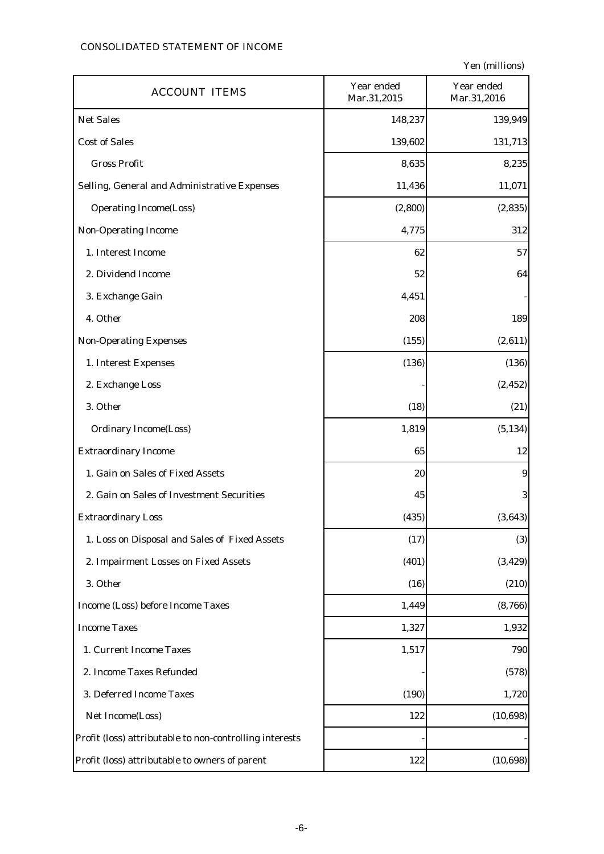## CONSOLIDATED STATEMENT OF INCOME

Yen (millions)

| <b>ACCOUNT ITEMS</b>                                    | Year ended<br>Mar.31,2015 | Year ended<br>Mar.31,2016 |
|---------------------------------------------------------|---------------------------|---------------------------|
| <b>Net Sales</b>                                        | 148,237                   | 139,949                   |
| <b>Cost of Sales</b>                                    | 139,602                   | 131,713                   |
| <b>Gross Profit</b>                                     | 8,635                     | 8,235                     |
| Selling, General and Administrative Expenses            | 11,436                    | 11,071                    |
| <b>Operating Income(Loss)</b>                           | (2, 800)                  | (2, 835)                  |
| <b>Non-Operating Income</b>                             | 4,775                     | 312                       |
| 1. Interest Income                                      | 62                        | 57                        |
| 2. Dividend Income                                      | 52                        | 64                        |
| 3. Exchange Gain                                        | 4,451                     |                           |
| 4. Other                                                | 208                       | 189                       |
| <b>Non-Operating Expenses</b>                           | (155)                     | (2,611)                   |
| 1. Interest Expenses                                    | (136)                     | (136)                     |
| 2. Exchange Loss                                        |                           | (2, 452)                  |
| 3. Other                                                | (18)                      | (21)                      |
| <b>Ordinary Income(Loss)</b>                            | 1,819                     | (5, 134)                  |
| <b>Extraordinary Income</b>                             | 65                        | 12                        |
| 1. Gain on Sales of Fixed Assets                        | 20                        | $\boldsymbol{9}$          |
| 2. Gain on Sales of Investment Securities               | 45                        | 3                         |
| <b>Extraordinary Loss</b>                               | (435)                     | (3, 643)                  |
| 1. Loss on Disposal and Sales of Fixed Assets           | (17)                      | (3)                       |
| 2. Impairment Losses on Fixed Assets                    | (401)                     | (3, 429)                  |
| 3. Other                                                | (16)                      | (210)                     |
| Income (Loss) before Income Taxes                       | 1,449                     | (8,766)                   |
| <b>Income Taxes</b>                                     | 1,327                     | 1,932                     |
| 1. Current Income Taxes                                 | 1,517                     | 790                       |
| 2. Income Taxes Refunded                                |                           | (578)                     |
| 3. Deferred Income Taxes                                | (190)                     | 1,720                     |
| Net Income(Loss)                                        | 122                       | (10, 698)                 |
| Profit (loss) attributable to non-controlling interests |                           |                           |
| Profit (loss) attributable to owners of parent          | 122                       | (10, 698)                 |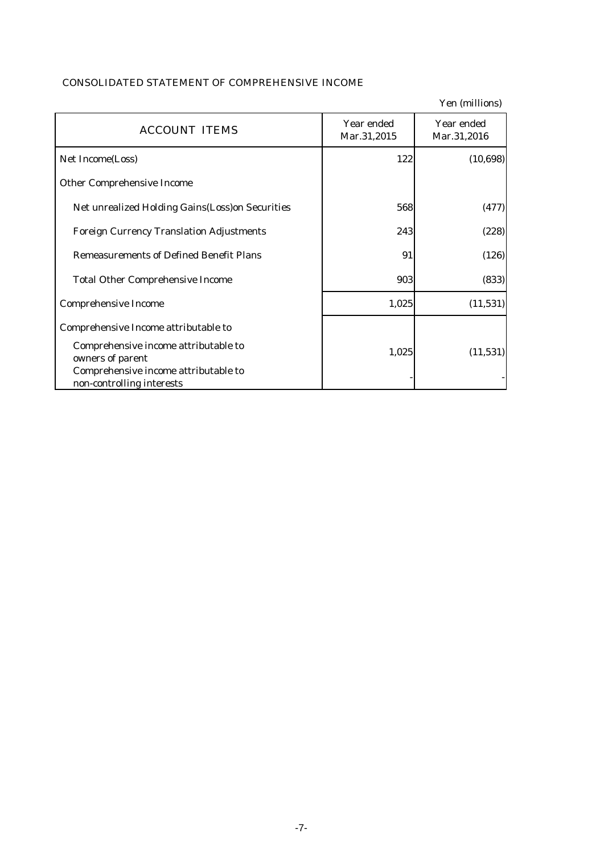|                                                                                                                               |                           | ren <i>(mimions)</i>      |
|-------------------------------------------------------------------------------------------------------------------------------|---------------------------|---------------------------|
| <b>ACCOUNT ITEMS</b>                                                                                                          | Year ended<br>Mar.31,2015 | Year ended<br>Mar.31,2016 |
| Net Income(Loss)                                                                                                              | 122                       | (10, 698)                 |
| <b>Other Comprehensive Income</b>                                                                                             |                           |                           |
| <b>Net unrealized Holding Gains (Loss) on Securities</b>                                                                      | 568                       | (477)                     |
| <b>Foreign Currency Translation Adjustments</b>                                                                               | 243                       | (228)                     |
| <b>Remeasurements of Defined Benefit Plans</b>                                                                                | 91                        | (126)                     |
| <b>Total Other Comprehensive Income</b>                                                                                       | 903                       | (833)                     |
| <b>Comprehensive Income</b>                                                                                                   | 1,025                     | (11, 531)                 |
| Comprehensive Income attributable to                                                                                          |                           |                           |
| Comprehensive income attributable to<br>owners of parent<br>Comprehensive income attributable to<br>non-controlling interests | 1,025                     | (11, 531)                 |

#### CONSOLIDATED STATEMENT OF COMPREHENSIVE INCOME

Yen (millions)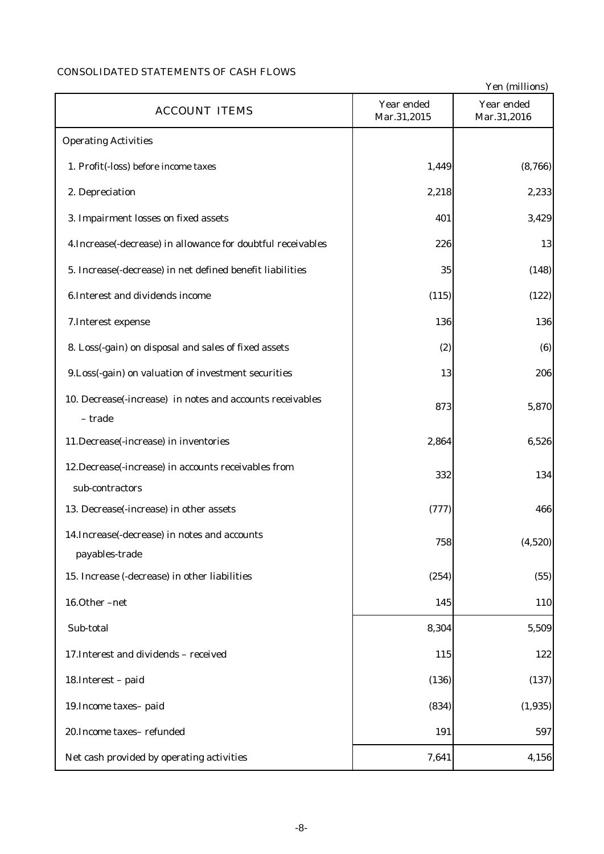# CONSOLIDATED STATEMENTS OF CASH FLOWS

|                                                              |                           | Yen (millions)            |
|--------------------------------------------------------------|---------------------------|---------------------------|
| <b>ACCOUNT ITEMS</b>                                         | Year ended<br>Mar.31,2015 | Year ended<br>Mar.31,2016 |
| <b>Operating Activities</b>                                  |                           |                           |
| 1. Profit(-loss) before income taxes                         | 1,449                     | (8,766)                   |
| 2. Depreciation                                              | 2,218                     | 2,233                     |
| 3. Impairment losses on fixed assets                         | 401                       | 3,429                     |
| 4. Increase(-decrease) in allowance for doubtful receivables | 226                       | 13                        |
| 5. Increase(-decrease) in net defined benefit liabilities    | 35                        | (148)                     |
| 6. Interest and dividends income                             | (115)                     | (122)                     |
| 7. Interest expense                                          | 136                       | 136                       |
| 8. Loss(-gain) on disposal and sales of fixed assets         | (2)                       | (6)                       |
| 9. Loss(-gain) on valuation of investment securities         | 13                        | 206                       |
| 10. Decrease(-increase) in notes and accounts receivables    | 873                       | 5,870                     |
| - trade                                                      |                           |                           |
| 11. Decrease(-increase) in inventories                       | 2,864                     | 6,526                     |
| 12. Decrease(-increase) in accounts receivables from         | 332                       | 134                       |
| sub-contractors                                              |                           |                           |
| 13. Decrease(-increase) in other assets                      | (777)                     | 466                       |
| 14. Increase (-decrease) in notes and accounts               | 758                       | (4,520)                   |
| payables-trade                                               |                           |                           |
| 15. Increase (-decrease) in other liabilities                | (254)                     | (55)                      |
| 16.Other-net                                                 | 145                       | 110                       |
| Sub-total                                                    | 8,304                     | 5,509                     |
| 17. Interest and dividends - received                        | 115                       | 122                       |
| 18. Interest - paid                                          | (136)                     | (137)                     |
| 19. Income taxes-paid                                        | (834)                     | (1, 935)                  |
| 20. Income taxes-refunded                                    | 191                       | 597                       |
| Net cash provided by operating activities                    | 7,641                     | 4,156                     |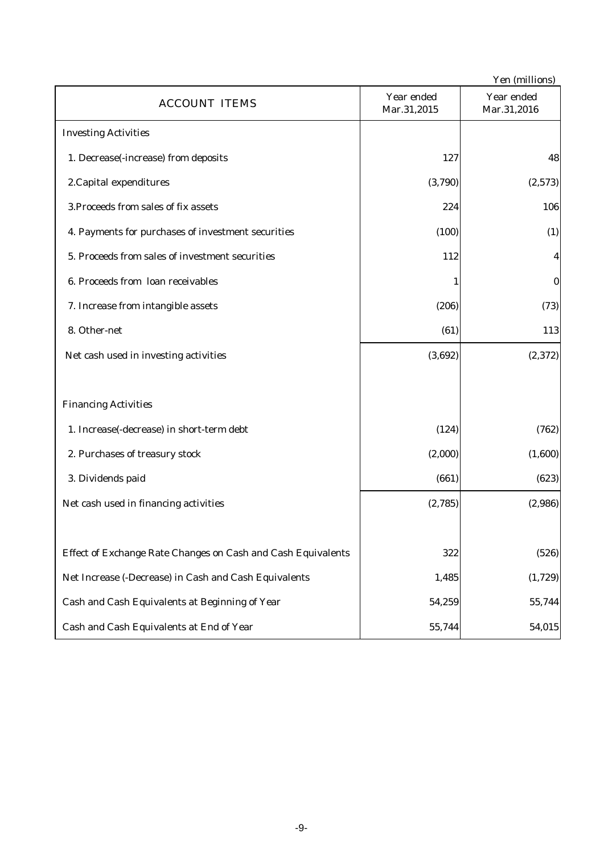| Yen (millions)                                               |                           |                           |  |  |
|--------------------------------------------------------------|---------------------------|---------------------------|--|--|
| <b>ACCOUNT ITEMS</b>                                         | Year ended<br>Mar.31,2015 | Year ended<br>Mar.31,2016 |  |  |
| <b>Investing Activities</b>                                  |                           |                           |  |  |
| 1. Decrease(-increase) from deposits                         | 127                       | 48                        |  |  |
| 2. Capital expenditures                                      | (3,790)                   | (2,573)                   |  |  |
| 3. Proceeds from sales of fix assets                         | 224                       | 106                       |  |  |
| 4. Payments for purchases of investment securities           | (100)                     | (1)                       |  |  |
| 5. Proceeds from sales of investment securities              | 112                       | 4                         |  |  |
| 6. Proceeds from loan receivables                            |                           | $\bf{0}$                  |  |  |
| 7. Increase from intangible assets                           | (206)                     | (73)                      |  |  |
| 8. Other-net                                                 | (61)                      | 113                       |  |  |
| Net cash used in investing activities                        | (3,692)                   | (2, 372)                  |  |  |
|                                                              |                           |                           |  |  |
| <b>Financing Activities</b>                                  |                           |                           |  |  |
| 1. Increase(-decrease) in short-term debt                    | (124)                     | (762)                     |  |  |
| 2. Purchases of treasury stock                               | (2,000)                   | (1,600)                   |  |  |
| 3. Dividends paid                                            | (661)                     | (623)                     |  |  |
| Net cash used in financing activities                        | (2,785)                   | (2,986)                   |  |  |
|                                                              |                           |                           |  |  |
| Effect of Exchange Rate Changes on Cash and Cash Equivalents | 322                       | (526)                     |  |  |
| Net Increase (-Decrease) in Cash and Cash Equivalents        | 1,485                     | (1,729)                   |  |  |
| Cash and Cash Equivalents at Beginning of Year               | 54,259                    | 55,744                    |  |  |
| Cash and Cash Equivalents at End of Year                     | 55,744                    | 54,015                    |  |  |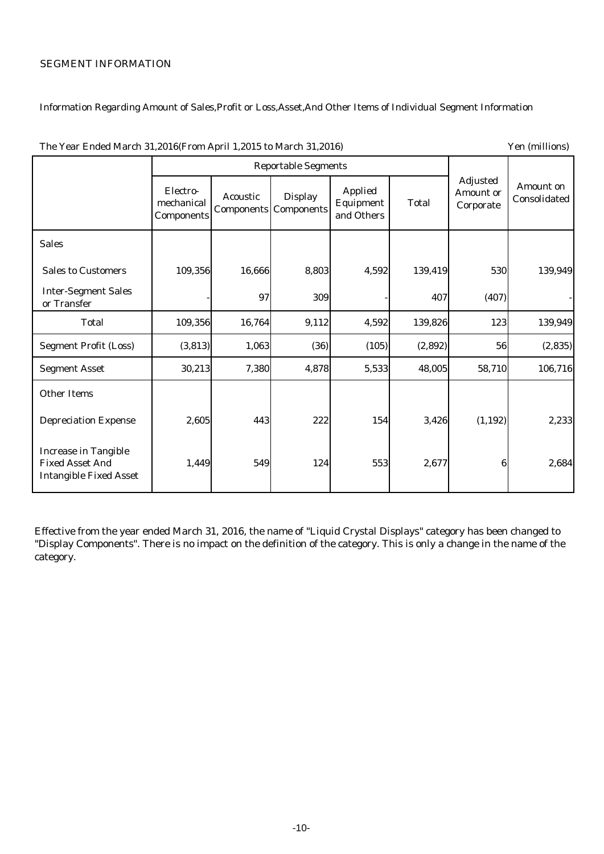## SEGMENT INFORMATION

# Information Regarding Amount of Sales,Profit or Loss,Asset,And Other Items of Individual Segment Information

| The Year Ended March 31,2016(From April 1,2015 to March 31,2016)                       |                                      |                 |                                                |                                           | Yen (millions) |                                                  |                           |
|----------------------------------------------------------------------------------------|--------------------------------------|-----------------|------------------------------------------------|-------------------------------------------|----------------|--------------------------------------------------|---------------------------|
|                                                                                        | <b>Reportable Segments</b>           |                 |                                                |                                           |                |                                                  |                           |
|                                                                                        | Electro-<br>mechanical<br>Components | <b>Acoustic</b> | <b>Display</b><br><b>Components Components</b> | <b>Applied</b><br>Equipment<br>and Others | <b>Total</b>   | <b>Adjusted</b><br><b>Amount or</b><br>Corporate | Amount on<br>Consolidated |
| <b>Sales</b>                                                                           |                                      |                 |                                                |                                           |                |                                                  |                           |
| <b>Sales to Customers</b>                                                              | 109,356                              | 16,666          | 8,803                                          | 4,592                                     | 139,419        | 530                                              | 139,949                   |
| <b>Inter-Segment Sales</b><br>or Transfer                                              |                                      | 97              | 309                                            |                                           | 407            | (407)                                            |                           |
| <b>Total</b>                                                                           | 109,356                              | 16,764          | 9,112                                          | 4,592                                     | 139,826        | 123                                              | 139,949                   |
| <b>Segment Profit (Loss)</b>                                                           | (3, 813)                             | 1,063           | (36)                                           | (105)                                     | (2,892)        | 56                                               | (2, 835)                  |
| <b>Segment Asset</b>                                                                   | 30,213                               | 7,380           | 4,878                                          | 5,533                                     | 48,005         | 58,710                                           | 106,716                   |
| <b>Other Items</b>                                                                     |                                      |                 |                                                |                                           |                |                                                  |                           |
| <b>Depreciation Expense</b>                                                            | 2,605                                | 443             | 222                                            | 154                                       | 3,426          | (1, 192)                                         | 2,233                     |
| <b>Increase in Tangible</b><br><b>Fixed Asset And</b><br><b>Intangible Fixed Asset</b> | 1,449                                | 549             | 124                                            | 553                                       | 2,677          | 6                                                | 2,684                     |

The Year Ended March 31,2016(From April 1,2015 to March 31,2016) Yen (millions)

Effective from the year ended March 31, 2016, the name of "Liquid Crystal Displays" category has been changed to "Display Components". There is no impact on the definition of the category. This is only a change in the name of the category.